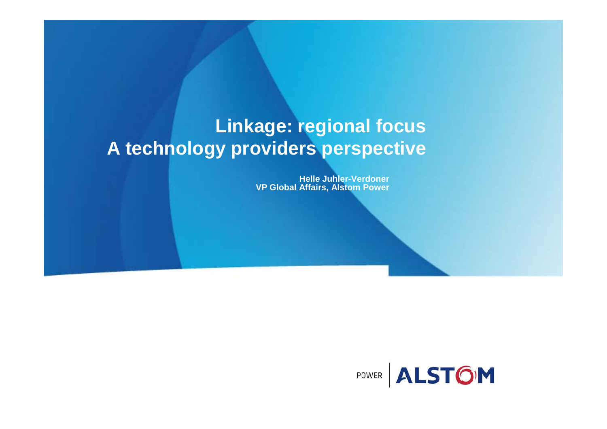### **Linkage: regional focus A technology providers perspective**

**Helle Juhler-Verdoner VP Global Affairs, Alstom Power**

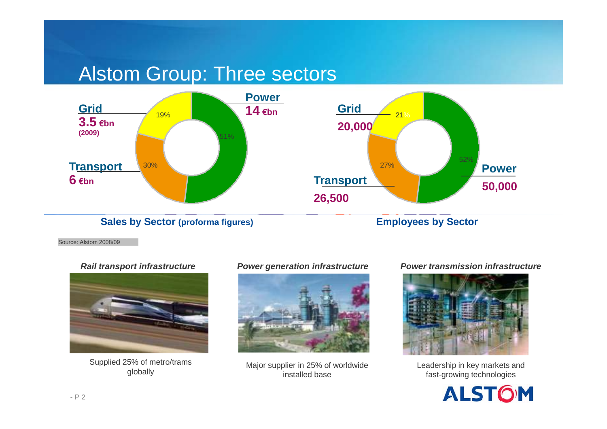#### Alstom Group: Three sectors





Source: Alstom 2008/09



Supplied 25% of metro/trams



b% of metro/trams Major supplier in 25% of worldwide Leadership in key markets and globally<br>installed base installed base fast-growing technologies

#### **Rail transport infrastructure <b>***Power generation infrastructure* Power transmission infrastructure



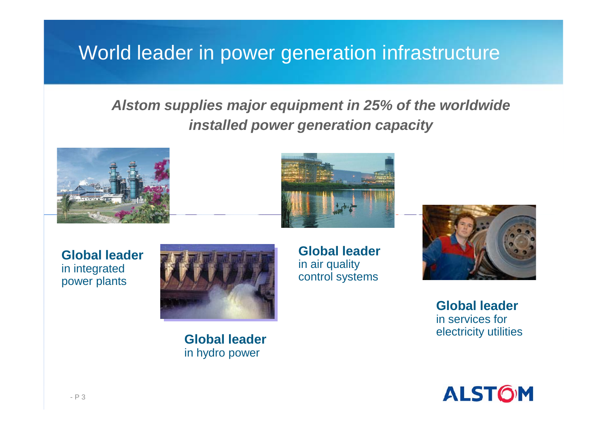### World leader in power generation infrastructure

#### **Alstom supplies major equipment in 25% of the worldwide installed power generation capacity**





**Global leader**in integrated power plants



**Global leader** 

in hydro power

**Global leader**  in air quality control systems



**Global leader**  in services for electricity utilities



- P 3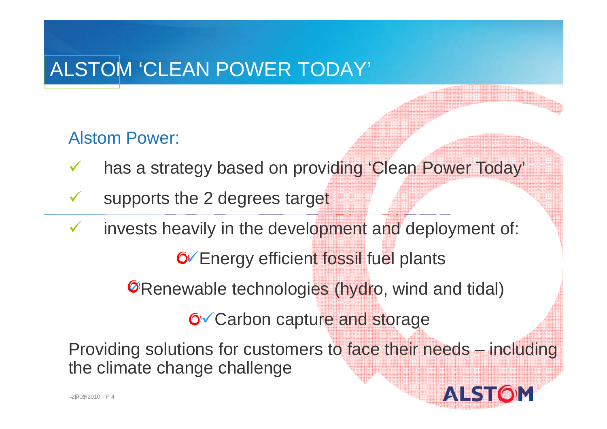# ALSTOM 'CLEAN POWER TODAY'

#### Alstom Power:

- $\sqrt{ }$ has a strategy based on providing 'Clean Power Today'
- $\checkmark$ supports the 2 degrees target
- $\sqrt{ }$ invests heavily in the development and deployment of:

**6** Energy efficient fossil fuel plants

**S** Renewable technologies (hydro, wind and tidal)

**6** Carbon capture and storage

Providing solutions for customers to face their needs – including the climate change challenge

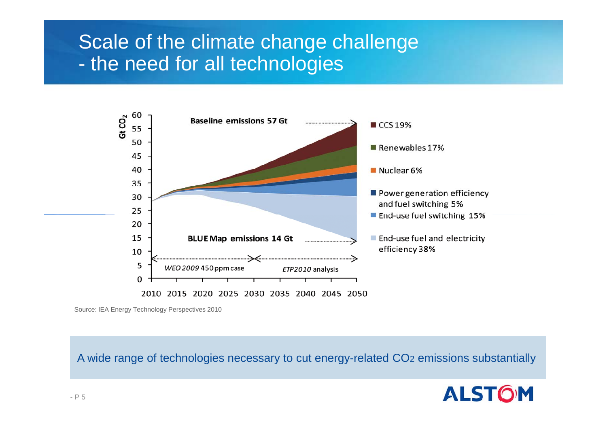### Scale of the climate change challenge the need for all technologies



Source: IEA Energy Technology Perspectives 2010

A wide range of technologies necessary to cut energy-related CO 2 emissions substantially

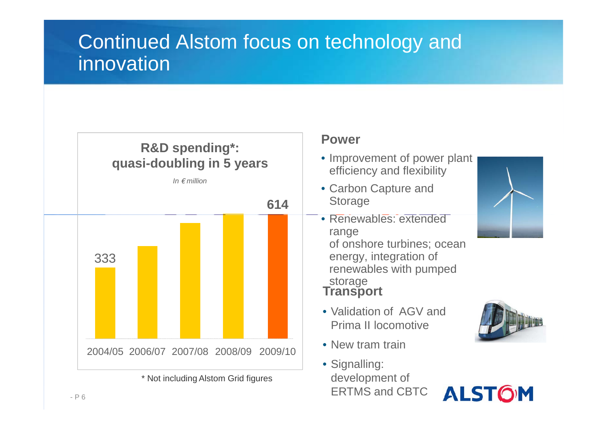# Continued Alstom focus on technology and innovation



\* Not including Alstom Grid figures

#### **Power**

- Improvement of power plant efficiency and flexibility
- Carbon Capture and Storage
- Renewables: extended range of onshore turbines; ocean energy, integration of renewables with pumped

# storage **Transport**

- Validation of AGV and Prima II locomotive
- New tram train
- Signalling: development of ERTMS and CBTC





**ALSTOM**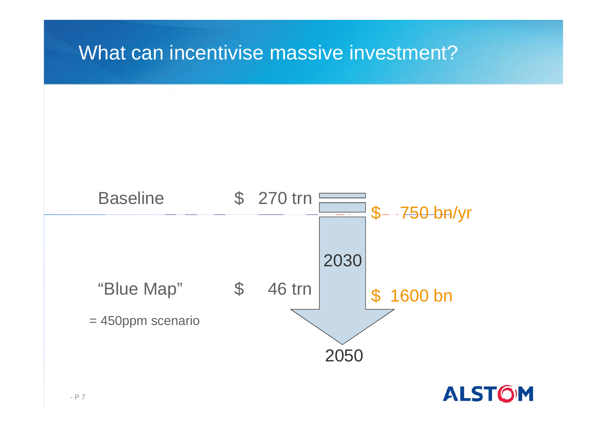#### What can incentivise massive investment?



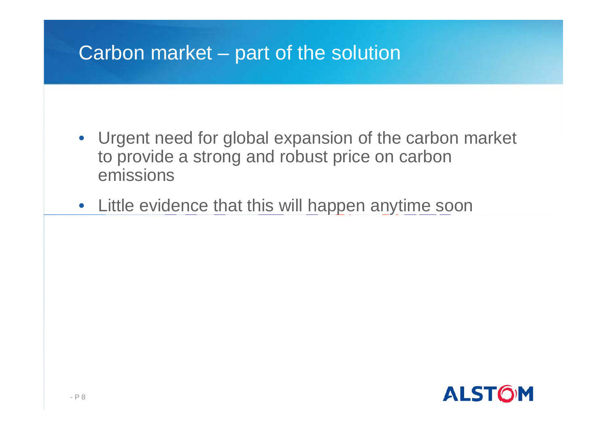## Carbon market – part of the solution

- Urgent need for global expansion of the carbon market to provide a strong and robust price on carbon emissions
- Little evidence that this will happen anytime soon

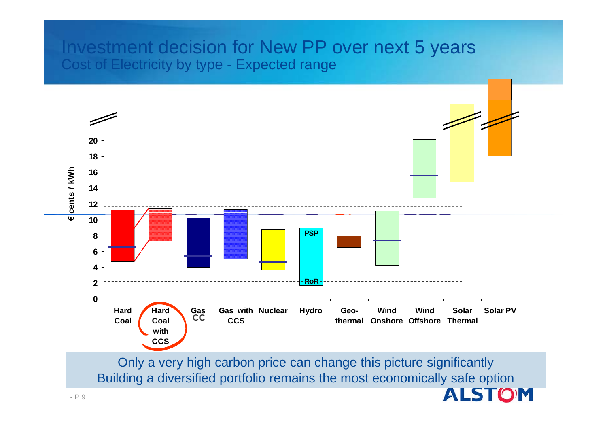#### Investment decision for New PP over next 5 years Cost of Electricity by type - Expected range



Building a diversified portfolio remains the most economically safe option

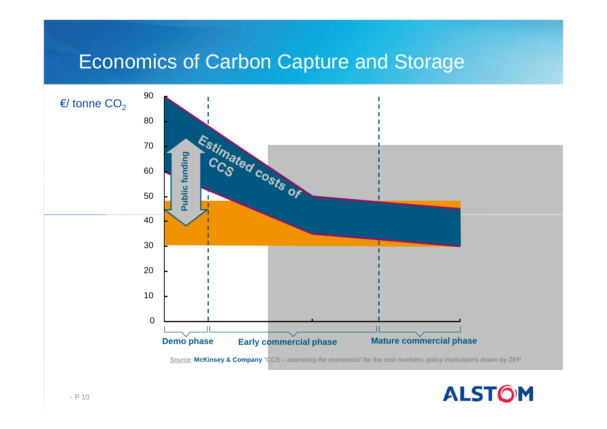#### Economics of Carbon Capture and Storage